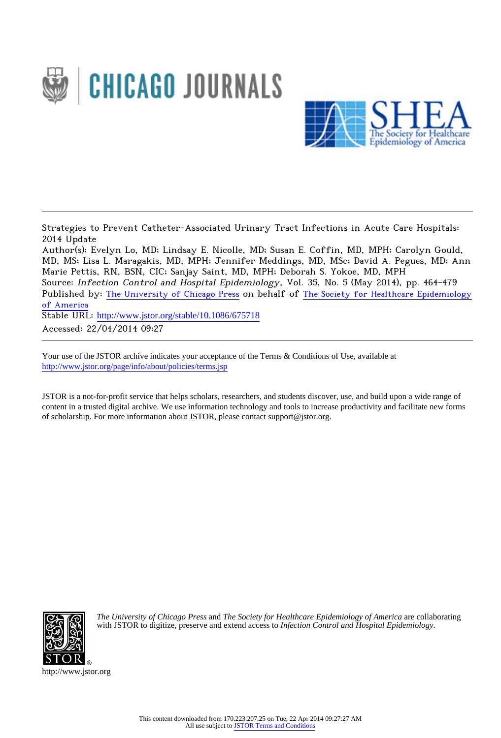



Strategies to Prevent Catheter-Associated Urinary Tract Infections in Acute Care Hospitals: 2014 Update

Author(s): Evelyn Lo, MD; Lindsay E. Nicolle, MD; Susan E. Coffin, MD, MPH; Carolyn Gould, MD, MS; Lisa L. Maragakis, MD, MPH; Jennifer Meddings, MD, MSc; David A. Pegues, MD; Ann Marie Pettis, RN, BSN, CIC; Sanjay Saint, MD, MPH; Deborah S. Yokoe, MD, MPH Source: Infection Control and Hospital Epidemiology, Vol. 35, No. 5 (May 2014), pp. 464-479 Published by: [The University of Chicago Press](http://www.jstor.org/action/showPublisher?publisherCode=ucpress) on behalf of [The Society for Healthcare Epidemiology](http://www.jstor.org/action/showPublisher?publisherCode=shea) [of America](http://www.jstor.org/action/showPublisher?publisherCode=shea)

Stable URL: http://www.jstor.org/stable/10.1086/675718

Accessed: 22/04/2014 09:27

Your use of the JSTOR archive indicates your acceptance of the Terms & Conditions of Use, available at <http://www.jstor.org/page/info/about/policies/terms.jsp>

JSTOR is a not-for-profit service that helps scholars, researchers, and students discover, use, and build upon a wide range of content in a trusted digital archive. We use information technology and tools to increase productivity and facilitate new forms of scholarship. For more information about JSTOR, please contact support@jstor.org.



*The University of Chicago Press* and *The Society for Healthcare Epidemiology of America* are collaborating with JSTOR to digitize, preserve and extend access to *Infection Control and Hospital Epidemiology.*

http://www.jstor.org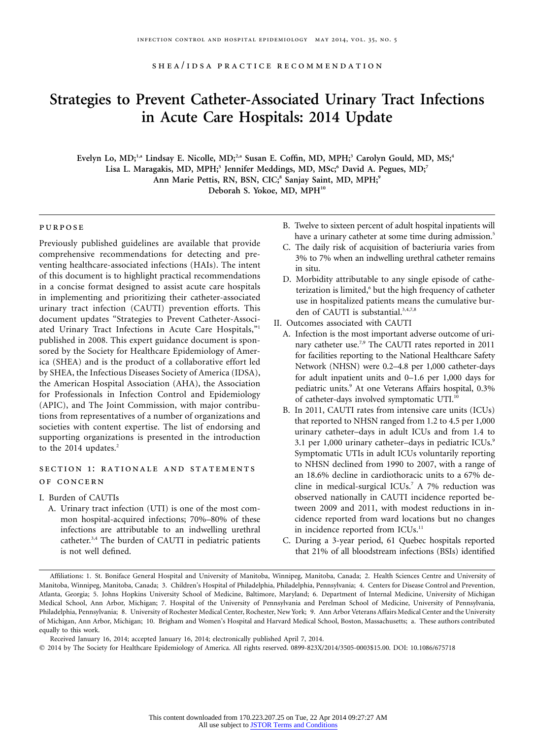# **Strategies to Prevent Catheter-Associated Urinary Tract Infections in Acute Care Hospitals: 2014 Update**

Evelyn Lo, MD;<sup>1,a</sup> Lindsay E. Nicolle, MD;<sup>2,a</sup> Susan E. Coffin, MD, MPH;<sup>3</sup> Carolyn Gould, MD, MS;<sup>4</sup> Lisa L. Maragakis, MD, MPH;<sup>5</sup> Jennifer Meddings, MD, MSc;<sup>6</sup> David A. Pegues, MD;<sup>7</sup> Ann Marie Pettis, RN, BSN, CIC;<sup>8</sup> Sanjay Saint, MD, MPH;<sup>9</sup> **Deborah S. Yokoe, MD, MPH10**

#### purpose

Previously published guidelines are available that provide comprehensive recommendations for detecting and preventing healthcare-associated infections (HAIs). The intent of this document is to highlight practical recommendations in a concise format designed to assist acute care hospitals in implementing and prioritizing their catheter-associated urinary tract infection (CAUTI) prevention efforts. This document updates "Strategies to Prevent Catheter-Associated Urinary Tract Infections in Acute Care Hospitals,"1 published in 2008. This expert guidance document is sponsored by the Society for Healthcare Epidemiology of America (SHEA) and is the product of a collaborative effort led by SHEA, the Infectious Diseases Society of America (IDSA), the American Hospital Association (AHA), the Association for Professionals in Infection Control and Epidemiology (APIC), and The Joint Commission, with major contributions from representatives of a number of organizations and societies with content expertise. The list of endorsing and supporting organizations is presented in the introduction to the 2014 updates. $2$ 

## section 1: rationale and statements of concern

- I. Burden of CAUTIs
	- A. Urinary tract infection (UTI) is one of the most common hospital-acquired infections; 70%–80% of these infections are attributable to an indwelling urethral catheter.<sup>3,4</sup> The burden of CAUTI in pediatric patients is not well defined.
- B. Twelve to sixteen percent of adult hospital inpatients will have a urinary catheter at some time during admission.<sup>5</sup>
- C. The daily risk of acquisition of bacteriuria varies from 3% to 7% when an indwelling urethral catheter remains in situ.
- D. Morbidity attributable to any single episode of catheterization is limited,<sup>6</sup> but the high frequency of catheter use in hospitalized patients means the cumulative burden of CAUTI is substantial.<sup>3,4,7,8</sup>
- II. Outcomes associated with CAUTI
	- A. Infection is the most important adverse outcome of urinary catheter use.<sup>7,9</sup> The CAUTI rates reported in 2011 for facilities reporting to the National Healthcare Safety Network (NHSN) were 0.2–4.8 per 1,000 catheter-days for adult inpatient units and 0–1.6 per 1,000 days for pediatric units.<sup>9</sup> At one Veterans Affairs hospital, 0.3% of catheter-days involved symptomatic UTI.10
	- B. In 2011, CAUTI rates from intensive care units (ICUs) that reported to NHSN ranged from 1.2 to 4.5 per 1,000 urinary catheter–days in adult ICUs and from 1.4 to 3.1 per 1,000 urinary catheter–days in pediatric ICUs.9 Symptomatic UTIs in adult ICUs voluntarily reporting to NHSN declined from 1990 to 2007, with a range of an 18.6% decline in cardiothoracic units to a 67% decline in medical-surgical ICUs.<sup>7</sup> A 7% reduction was observed nationally in CAUTI incidence reported between 2009 and 2011, with modest reductions in incidence reported from ward locations but no changes in incidence reported from ICUs.<sup>11</sup>
	- C. During a 3-year period, 61 Quebec hospitals reported that 21% of all bloodstream infections (BSIs) identified

Affiliations: 1. St. Boniface General Hospital and University of Manitoba, Winnipeg, Manitoba, Canada; 2. Health Sciences Centre and University of Manitoba, Winnipeg, Manitoba, Canada; 3. Children's Hospital of Philadelphia, Philadelphia, Pennsylvania; 4. Centers for Disease Control and Prevention, Atlanta, Georgia; 5. Johns Hopkins University School of Medicine, Baltimore, Maryland; 6. Department of Internal Medicine, University of Michigan Medical School, Ann Arbor, Michigan; 7. Hospital of the University of Pennsylvania and Perelman School of Medicine, University of Pennsylvania, Philadelphia, Pennsylvania; 8. University of Rochester Medical Center, Rochester, New York; 9. Ann Arbor Veterans Affairs Medical Center and the University of Michigan, Ann Arbor, Michigan; 10. Brigham and Women's Hospital and Harvard Medical School, Boston, Massachusetts; a. These authors contributed equally to this work.

Received January 16, 2014; accepted January 16, 2014; electronically published April 7, 2014.

<sup>-</sup> 2014 by The Society for Healthcare Epidemiology of America. All rights reserved. 0899-823X/2014/3505-0003\$15.00. DOI: 10.1086/675718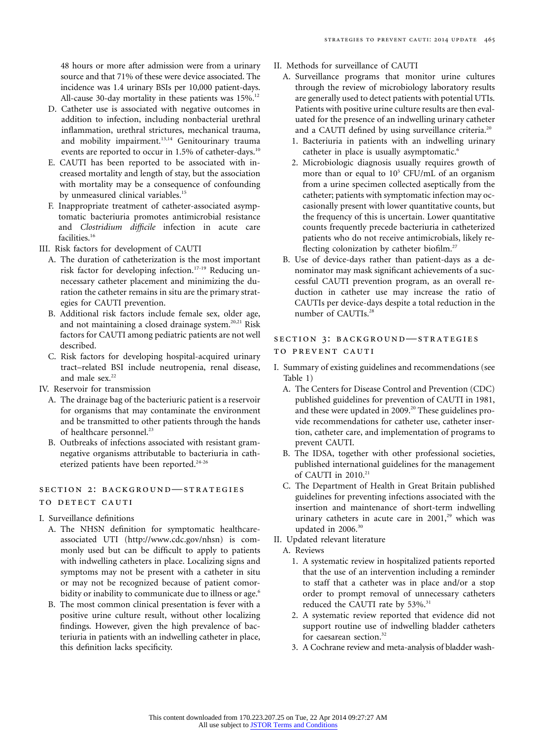48 hours or more after admission were from a urinary source and that 71% of these were device associated. The incidence was 1.4 urinary BSIs per 10,000 patient-days. All-cause 30-day mortality in these patients was  $15\%$ .<sup>12</sup>

- D. Catheter use is associated with negative outcomes in addition to infection, including nonbacterial urethral inflammation, urethral strictures, mechanical trauma, and mobility impairment.<sup>13,14</sup> Genitourinary trauma events are reported to occur in 1.5% of catheter-days.<sup>10</sup>
- E. CAUTI has been reported to be associated with increased mortality and length of stay, but the association with mortality may be a consequence of confounding by unmeasured clinical variables.<sup>15</sup>
- F. Inappropriate treatment of catheter-associated asymptomatic bacteriuria promotes antimicrobial resistance and *Clostridium difficile* infection in acute care facilities.<sup>16</sup>
- III. Risk factors for development of CAUTI
	- A. The duration of catheterization is the most important risk factor for developing infection.<sup>17-19</sup> Reducing unnecessary catheter placement and minimizing the duration the catheter remains in situ are the primary strategies for CAUTI prevention.
	- B. Additional risk factors include female sex, older age, and not maintaining a closed drainage system.<sup>20,21</sup> Risk factors for CAUTI among pediatric patients are not well described.
	- C. Risk factors for developing hospital-acquired urinary tract–related BSI include neutropenia, renal disease, and male sex.<sup>22</sup>
- IV. Reservoir for transmission
	- A. The drainage bag of the bacteriuric patient is a reservoir for organisms that may contaminate the environment and be transmitted to other patients through the hands of healthcare personnel.<sup>23</sup>
	- B. Outbreaks of infections associated with resistant gramnegative organisms attributable to bacteriuria in catheterized patients have been reported.<sup>24-26</sup>

## section 2: background—strategies TO DETECT CAUTI

## I. Surveillance definitions

- A. The NHSN definition for symptomatic healthcareassociated UTI [\(http://www.cdc.gov/nhsn\)](http://www.cdc.gov/nhsn) is commonly used but can be difficult to apply to patients with indwelling catheters in place. Localizing signs and symptoms may not be present with a catheter in situ or may not be recognized because of patient comorbidity or inability to communicate due to illness or age.<sup>6</sup>
- B. The most common clinical presentation is fever with a positive urine culture result, without other localizing findings. However, given the high prevalence of bacteriuria in patients with an indwelling catheter in place, this definition lacks specificity.
- II. Methods for surveillance of CAUTI
	- A. Surveillance programs that monitor urine cultures through the review of microbiology laboratory results are generally used to detect patients with potential UTIs. Patients with positive urine culture results are then evaluated for the presence of an indwelling urinary catheter and a CAUTI defined by using surveillance criteria.<sup>20</sup>
		- 1. Bacteriuria in patients with an indwelling urinary catheter in place is usually asymptomatic.<sup>6</sup>
		- 2. Microbiologic diagnosis usually requires growth of more than or equal to  $10^5$  CFU/mL of an organism from a urine specimen collected aseptically from the catheter; patients with symptomatic infection may occasionally present with lower quantitative counts, but the frequency of this is uncertain. Lower quantitative counts frequently precede bacteriuria in catheterized patients who do not receive antimicrobials, likely reflecting colonization by catheter biofilm.<sup>27</sup>
	- B. Use of device-days rather than patient-days as a denominator may mask significant achievements of a successful CAUTI prevention program, as an overall reduction in catheter use may increase the ratio of CAUTIs per device-days despite a total reduction in the number of CAUTIs.28

# section 3: background—strategies to prevent cauti

- I. Summary of existing guidelines and recommendations (see Table 1)
	- A. The Centers for Disease Control and Prevention (CDC) published guidelines for prevention of CAUTI in 1981, and these were updated in 2009.<sup>20</sup> These guidelines provide recommendations for catheter use, catheter insertion, catheter care, and implementation of programs to prevent CAUTI.
	- B. The IDSA, together with other professional societies, published international guidelines for the management of CAUTI in  $2010.<sup>21</sup>$
	- C. The Department of Health in Great Britain published guidelines for preventing infections associated with the insertion and maintenance of short-term indwelling urinary catheters in acute care in  $2001$ ,<sup>29</sup> which was updated in 2006.<sup>30</sup>
- II. Updated relevant literature
	- A. Reviews
		- 1. A systematic review in hospitalized patients reported that the use of an intervention including a reminder to staff that a catheter was in place and/or a stop order to prompt removal of unnecessary catheters reduced the CAUTI rate by 53%.<sup>31</sup>
		- 2. A systematic review reported that evidence did not support routine use of indwelling bladder catheters for caesarean section.<sup>32</sup>
		- 3. A Cochrane review and meta-analysis of bladder wash-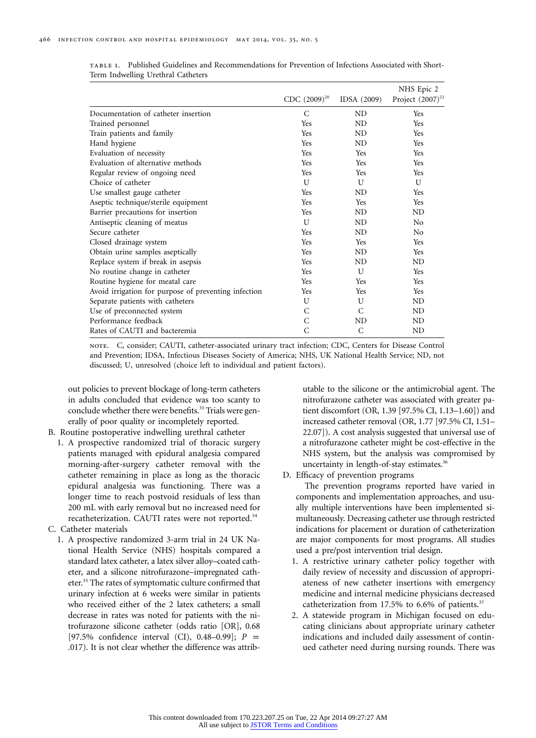|                                                      |                   |                    | NHS Epic 2            |
|------------------------------------------------------|-------------------|--------------------|-----------------------|
|                                                      | CDC $(2009)^{20}$ | <b>IDSA</b> (2009) | Project $(2007)^{22}$ |
| Documentation of catheter insertion                  | C                 | N <sub>D</sub>     | Yes                   |
| Trained personnel                                    | Yes               | ND                 | Yes                   |
| Train patients and family                            | Yes               | N <sub>D</sub>     | <b>Yes</b>            |
| Hand hygiene                                         | Yes               | ND                 | Yes                   |
| Evaluation of necessity                              | <b>Yes</b>        | <b>Yes</b>         | <b>Yes</b>            |
| Evaluation of alternative methods                    | <b>Yes</b>        | Yes                | Yes                   |
| Regular review of ongoing need                       | <b>Yes</b>        | <b>Yes</b>         | Yes                   |
| Choice of catheter                                   | $\mathbf{U}$      | $\mathbf{U}$       | U                     |
| Use smallest gauge catheter                          | Yes               | ND                 | Yes                   |
| Aseptic technique/sterile equipment                  | <b>Yes</b>        | <b>Yes</b>         | <b>Yes</b>            |
| Barrier precautions for insertion                    | Yes               | ND                 | ND                    |
| Antiseptic cleaning of meatus                        | $\mathbf{U}$      | ND                 | N <sub>0</sub>        |
| Secure catheter                                      | <b>Yes</b>        | ND                 | No                    |
| Closed drainage system                               | <b>Yes</b>        | Yes                | Yes                   |
| Obtain urine samples aseptically                     | <b>Yes</b>        | ND                 | Yes                   |
| Replace system if break in asepsis                   | <b>Yes</b>        | <b>ND</b>          | <b>ND</b>             |
| No routine change in catheter                        | <b>Yes</b>        | $\mathbf{U}$       | <b>Yes</b>            |
| Routine hygiene for meatal care                      | <b>Yes</b>        | Yes                | Yes                   |
| Avoid irrigation for purpose of preventing infection | Yes               | Yes                | Yes                   |
| Separate patients with catheters                     | U                 | U                  | <b>ND</b>             |
| Use of preconnected system                           | C                 | C                  | ND                    |
| Performance feedback                                 | С                 | <b>ND</b>          | ND                    |
| Rates of CAUTI and bacteremia                        | C                 | C                  | ND                    |

table 1. Published Guidelines and Recommendations for Prevention of Infections Associated with Short-Term Indwelling Urethral Catheters

note. C, consider; CAUTI, catheter-associated urinary tract infection; CDC, Centers for Disease Control and Prevention; IDSA, Infectious Diseases Society of America; NHS, UK National Health Service; ND, not discussed; U, unresolved (choice left to individual and patient factors).

out policies to prevent blockage of long-term catheters in adults concluded that evidence was too scanty to conclude whether there were benefits.<sup>33</sup> Trials were generally of poor quality or incompletely reported.

B. Routine postoperative indwelling urethral catheter

1. A prospective randomized trial of thoracic surgery patients managed with epidural analgesia compared morning-after-surgery catheter removal with the catheter remaining in place as long as the thoracic epidural analgesia was functioning. There was a longer time to reach postvoid residuals of less than 200 mL with early removal but no increased need for recatheterization. CAUTI rates were not reported.<sup>34</sup>

## C. Catheter materials

1. A prospective randomized 3-arm trial in 24 UK National Health Service (NHS) hospitals compared a standard latex catheter, a latex silver alloy–coated catheter, and a silicone nitrofurazone–impregnated catheter.<sup>35</sup> The rates of symptomatic culture confirmed that urinary infection at 6 weeks were similar in patients who received either of the 2 latex catheters; a small decrease in rates was noted for patients with the nitrofurazone silicone catheter (odds ratio [OR], 0.68 [97.5% confidence interval (CI),  $0.48-0.99$ ];  $P =$ .017). It is not clear whether the difference was attributable to the silicone or the antimicrobial agent. The nitrofurazone catheter was associated with greater patient discomfort (OR, 1.39 [97.5% CI, 1.13–1.60]) and increased catheter removal (OR, 1.77 [97.5% CI, 1.51– 22.07]). A cost analysis suggested that universal use of a nitrofurazone catheter might be cost-effective in the NHS system, but the analysis was compromised by uncertainty in length-of-stay estimates.<sup>36</sup>

D. Efficacy of prevention programs

The prevention programs reported have varied in components and implementation approaches, and usually multiple interventions have been implemented simultaneously. Decreasing catheter use through restricted indications for placement or duration of catheterization are major components for most programs. All studies used a pre/post intervention trial design.

- 1. A restrictive urinary catheter policy together with daily review of necessity and discussion of appropriateness of new catheter insertions with emergency medicine and internal medicine physicians decreased catheterization from 17.5% to 6.6% of patients. $37$
- 2. A statewide program in Michigan focused on educating clinicians about appropriate urinary catheter indications and included daily assessment of continued catheter need during nursing rounds. There was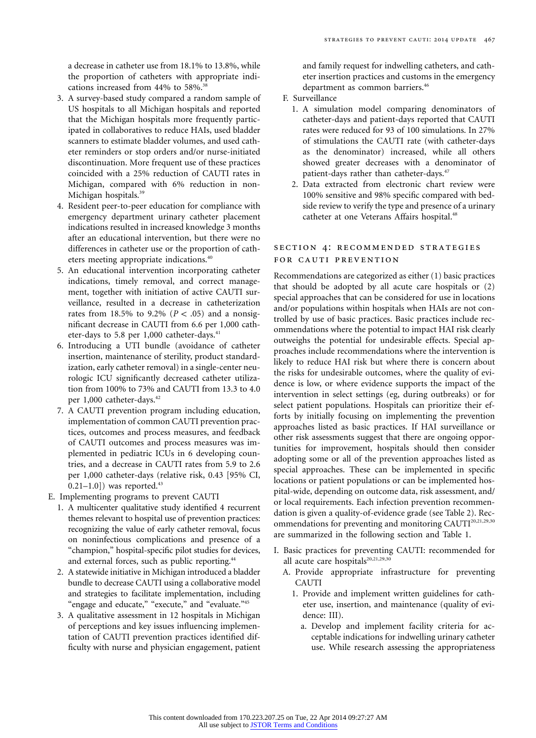a decrease in catheter use from 18.1% to 13.8%, while the proportion of catheters with appropriate indications increased from 44% to 58%.<sup>38</sup>

- 3. A survey-based study compared a random sample of US hospitals to all Michigan hospitals and reported that the Michigan hospitals more frequently participated in collaboratives to reduce HAIs, used bladder scanners to estimate bladder volumes, and used catheter reminders or stop orders and/or nurse-initiated discontinuation. More frequent use of these practices coincided with a 25% reduction of CAUTI rates in Michigan, compared with 6% reduction in non-Michigan hospitals.<sup>39</sup>
- 4. Resident peer-to-peer education for compliance with emergency department urinary catheter placement indications resulted in increased knowledge 3 months after an educational intervention, but there were no differences in catheter use or the proportion of catheters meeting appropriate indications.40
- 5. An educational intervention incorporating catheter indications, timely removal, and correct management, together with initiation of active CAUTI surveillance, resulted in a decrease in catheterization rates from 18.5% to 9.2% ( $P < .05$ ) and a nonsignificant decrease in CAUTI from 6.6 per 1,000 catheter-days to 5.8 per 1,000 catheter-days.<sup>41</sup>
- 6. Introducing a UTI bundle (avoidance of catheter insertion, maintenance of sterility, product standardization, early catheter removal) in a single-center neurologic ICU significantly decreased catheter utilization from 100% to 73% and CAUTI from 13.3 to 4.0 per 1,000 catheter-days.42
- 7. A CAUTI prevention program including education, implementation of common CAUTI prevention practices, outcomes and process measures, and feedback of CAUTI outcomes and process measures was implemented in pediatric ICUs in 6 developing countries, and a decrease in CAUTI rates from 5.9 to 2.6 per 1,000 catheter-days (relative risk, 0.43 [95% CI,  $0.21-1.0]$ ) was reported.<sup>43</sup>
- E. Implementing programs to prevent CAUTI
	- 1. A multicenter qualitative study identified 4 recurrent themes relevant to hospital use of prevention practices: recognizing the value of early catheter removal, focus on noninfectious complications and presence of a "champion," hospital-specific pilot studies for devices, and external forces, such as public reporting.<sup>44</sup>
	- 2. A statewide initiative in Michigan introduced a bladder bundle to decrease CAUTI using a collaborative model and strategies to facilitate implementation, including "engage and educate," "execute," and "evaluate."45
	- 3. A qualitative assessment in 12 hospitals in Michigan of perceptions and key issues influencing implementation of CAUTI prevention practices identified difficulty with nurse and physician engagement, patient

and family request for indwelling catheters, and catheter insertion practices and customs in the emergency department as common barriers.<sup>46</sup>

- F. Surveillance
	- 1. A simulation model comparing denominators of catheter-days and patient-days reported that CAUTI rates were reduced for 93 of 100 simulations. In 27% of stimulations the CAUTI rate (with catheter-days as the denominator) increased, while all others showed greater decreases with a denominator of patient-days rather than catheter-days.<sup>47</sup>
	- 2. Data extracted from electronic chart review were 100% sensitive and 98% specific compared with bedside review to verify the type and presence of a urinary catheter at one Veterans Affairs hospital.<sup>48</sup>

# section 4: recommended strategies for cauti prevention

Recommendations are categorized as either (1) basic practices that should be adopted by all acute care hospitals or (2) special approaches that can be considered for use in locations and/or populations within hospitals when HAIs are not controlled by use of basic practices. Basic practices include recommendations where the potential to impact HAI risk clearly outweighs the potential for undesirable effects. Special approaches include recommendations where the intervention is likely to reduce HAI risk but where there is concern about the risks for undesirable outcomes, where the quality of evidence is low, or where evidence supports the impact of the intervention in select settings (eg, during outbreaks) or for select patient populations. Hospitals can prioritize their efforts by initially focusing on implementing the prevention approaches listed as basic practices. If HAI surveillance or other risk assessments suggest that there are ongoing opportunities for improvement, hospitals should then consider adopting some or all of the prevention approaches listed as special approaches. These can be implemented in specific locations or patient populations or can be implemented hospital-wide, depending on outcome data, risk assessment, and/ or local requirements. Each infection prevention recommendation is given a quality-of-evidence grade (see Table 2). Recommendations for preventing and monitoring CAUTI<sup>20,21,29,30</sup> are summarized in the following section and Table 1.

- I. Basic practices for preventing CAUTI: recommended for all acute care hospitals<sup>20,21,29,30</sup>
	- A. Provide appropriate infrastructure for preventing CAUTI
		- 1. Provide and implement written guidelines for catheter use, insertion, and maintenance (quality of evidence: III).
			- a. Develop and implement facility criteria for acceptable indications for indwelling urinary catheter use. While research assessing the appropriateness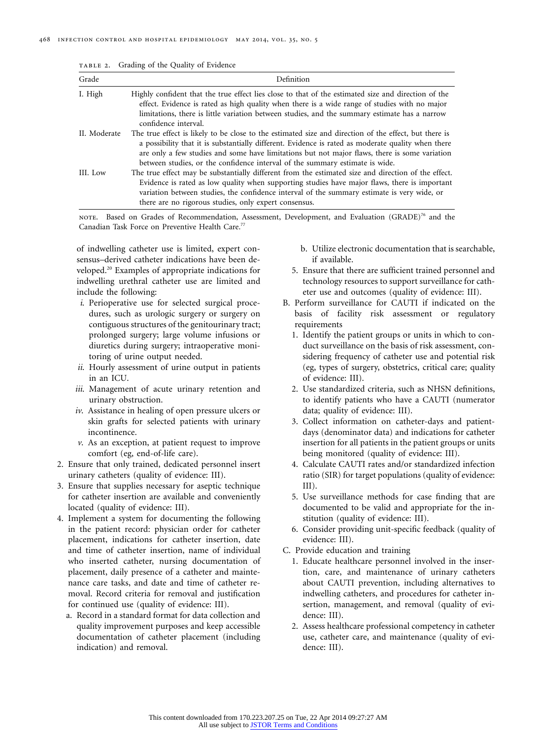| Grade        | Definition                                                                                                                                                                                                                                                                                                                                                                                   |
|--------------|----------------------------------------------------------------------------------------------------------------------------------------------------------------------------------------------------------------------------------------------------------------------------------------------------------------------------------------------------------------------------------------------|
| I. High      | Highly confident that the true effect lies close to that of the estimated size and direction of the<br>effect. Evidence is rated as high quality when there is a wide range of studies with no major<br>limitations, there is little variation between studies, and the summary estimate has a narrow<br>confidence interval.                                                                |
| II. Moderate | The true effect is likely to be close to the estimated size and direction of the effect, but there is<br>a possibility that it is substantially different. Evidence is rated as moderate quality when there<br>are only a few studies and some have limitations but not major flaws, there is some variation<br>between studies, or the confidence interval of the summary estimate is wide. |
| III. Low     | The true effect may be substantially different from the estimated size and direction of the effect.<br>Evidence is rated as low quality when supporting studies have major flaws, there is important<br>variation between studies, the confidence interval of the summary estimate is very wide, or<br>there are no rigorous studies, only expert consensus.                                 |

table 2. Grading of the Quality of Evidence

NOTE. Based on Grades of Recommendation, Assessment, Development, and Evaluation (GRADE)<sup>76</sup> and the Canadian Task Force on Preventive Health Care.<sup>77</sup>

of indwelling catheter use is limited, expert consensus–derived catheter indications have been developed.20 Examples of appropriate indications for indwelling urethral catheter use are limited and include the following:

- *i*. Perioperative use for selected surgical procedures, such as urologic surgery or surgery on contiguous structures of the genitourinary tract; prolonged surgery; large volume infusions or diuretics during surgery; intraoperative monitoring of urine output needed.
- *ii*. Hourly assessment of urine output in patients in an ICU.
- *iii*. Management of acute urinary retention and urinary obstruction.
- *iv*. Assistance in healing of open pressure ulcers or skin grafts for selected patients with urinary incontinence.
- *v*. As an exception, at patient request to improve comfort (eg, end-of-life care).
- 2. Ensure that only trained, dedicated personnel insert urinary catheters (quality of evidence: III).
- 3. Ensure that supplies necessary for aseptic technique for catheter insertion are available and conveniently located (quality of evidence: III).
- 4. Implement a system for documenting the following in the patient record: physician order for catheter placement, indications for catheter insertion, date and time of catheter insertion, name of individual who inserted catheter, nursing documentation of placement, daily presence of a catheter and maintenance care tasks, and date and time of catheter removal. Record criteria for removal and justification for continued use (quality of evidence: III).
	- a. Record in a standard format for data collection and quality improvement purposes and keep accessible documentation of catheter placement (including indication) and removal.
- b. Utilize electronic documentation that is searchable, if available.
- 5. Ensure that there are sufficient trained personnel and technology resources to support surveillance for catheter use and outcomes (quality of evidence: III).
- B. Perform surveillance for CAUTI if indicated on the basis of facility risk assessment or regulatory requirements
	- 1. Identify the patient groups or units in which to conduct surveillance on the basis of risk assessment, considering frequency of catheter use and potential risk (eg, types of surgery, obstetrics, critical care; quality of evidence: III).
	- 2. Use standardized criteria, such as NHSN definitions, to identify patients who have a CAUTI (numerator data; quality of evidence: III).
	- 3. Collect information on catheter-days and patientdays (denominator data) and indications for catheter insertion for all patients in the patient groups or units being monitored (quality of evidence: III).
	- 4. Calculate CAUTI rates and/or standardized infection ratio (SIR) for target populations (quality of evidence: III).
	- 5. Use surveillance methods for case finding that are documented to be valid and appropriate for the institution (quality of evidence: III).
	- 6. Consider providing unit-specific feedback (quality of evidence: III).
- C. Provide education and training
	- 1. Educate healthcare personnel involved in the insertion, care, and maintenance of urinary catheters about CAUTI prevention, including alternatives to indwelling catheters, and procedures for catheter insertion, management, and removal (quality of evidence: III).
	- 2. Assess healthcare professional competency in catheter use, catheter care, and maintenance (quality of evidence: III).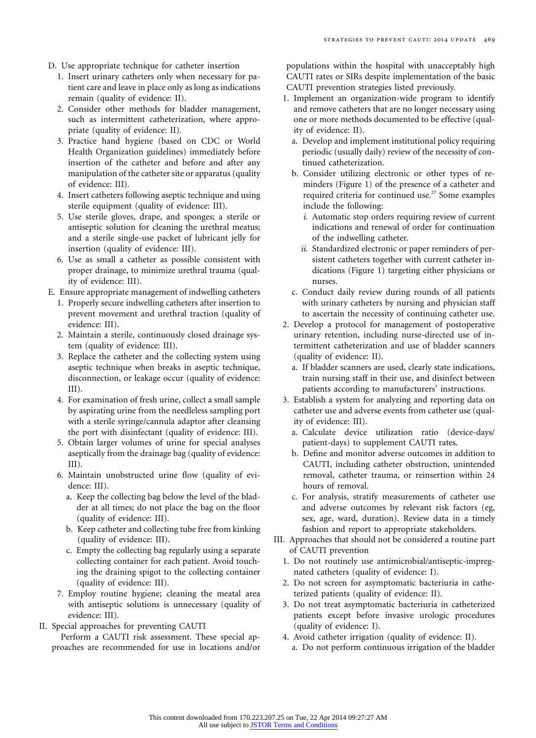- D. Use appropriate technique for catheter insertion
	- 1. Insert urinary catheters only when necessary for patient care and leave in place only as long as indications remain (quality of evidence: II).
	- 2. Consider other methods for bladder management, such as intermittent catheterization, where appropriate (quality of evidence: II).
	- 3. Practice hand hygiene (based on CDC or World Health Organization guidelines) immediately before insertion of the catheter and before and after any manipulation of the catheter site or apparatus (quality of evidence: III).
	- 4. Insert catheters following aseptic technique and using sterile equipment (quality of evidence: III).
	- 5. Use sterile gloves, drape, and sponges; a sterile or antiseptic solution for cleaning the urethral meatus; and a sterile single-use packet of lubricant jelly for insertion (quality of evidence: III).
	- 6. Use as small a catheter as possible consistent with proper drainage, to minimize urethral trauma (quality of evidence: III).
- E. Ensure appropriate management of indwelling catheters
	- 1. Properly secure indwelling catheters after insertion to prevent movement and urethral traction (quality of evidence: III).
	- 2. Maintain a sterile, continuously closed drainage system (quality of evidence: III).
	- 3. Replace the catheter and the collecting system using aseptic technique when breaks in aseptic technique, disconnection, or leakage occur (quality of evidence: III).
	- 4. For examination of fresh urine, collect a small sample by aspirating urine from the needleless sampling port with a sterile syringe/cannula adaptor after cleansing the port with disinfectant (quality of evidence: III).
	- 5. Obtain larger volumes of urine for special analyses aseptically from the drainage bag (quality of evidence: III).
	- 6. Maintain unobstructed urine flow (quality of evidence: III).
		- a. Keep the collecting bag below the level of the bladder at all times; do not place the bag on the floor (quality of evidence: III).
		- b. Keep catheter and collecting tube free from kinking (quality of evidence: III).
		- c. Empty the collecting bag regularly using a separate collecting container for each patient. Avoid touching the draining spigot to the collecting container (quality of evidence: III).
	- 7. Employ routine hygiene; cleaning the meatal area with antiseptic solutions is unnecessary (quality of evidence: III).
- II. Special approaches for preventing CAUTI

Perform a CAUTI risk assessment. These special approaches are recommended for use in locations and/or populations within the hospital with unacceptably high CAUTI rates or SIRs despite implementation of the basic CAUTI prevention strategies listed previously.

- 1. Implement an organization-wide program to identify and remove catheters that are no longer necessary using one or more methods documented to be effective (quality of evidence: II).
	- a. Develop and implement institutional policy requiring periodic (usually daily) review of the necessity of continued catheterization.
	- b. Consider utilizing electronic or other types of reminders (Figure 1) of the presence of a catheter and required criteria for continued use.<sup>27</sup> Some examples include the following:
		- *i*. Automatic stop orders requiring review of current indications and renewal of order for continuation of the indwelling catheter.
		- *ii*. Standardized electronic or paper reminders of persistent catheters together with current catheter indications (Figure 1) targeting either physicians or nurses.
	- c. Conduct daily review during rounds of all patients with urinary catheters by nursing and physician staff to ascertain the necessity of continuing catheter use.
- 2. Develop a protocol for management of postoperative urinary retention, including nurse-directed use of intermittent catheterization and use of bladder scanners (quality of evidence: II).
	- a. If bladder scanners are used, clearly state indications, train nursing staff in their use, and disinfect between patients according to manufacturers' instructions.
- 3. Establish a system for analyzing and reporting data on catheter use and adverse events from catheter use (quality of evidence: III).
	- a. Calculate device utilization ratio (device-days/ patient-days) to supplement CAUTI rates.
	- b. Define and monitor adverse outcomes in addition to CAUTI, including catheter obstruction, unintended removal, catheter trauma, or reinsertion within 24 hours of removal.
	- c. For analysis, stratify measurements of catheter use and adverse outcomes by relevant risk factors (eg, sex, age, ward, duration). Review data in a timely fashion and report to appropriate stakeholders.
- III. Approaches that should not be considered a routine part of CAUTI prevention
	- 1. Do not routinely use antimicrobial/antiseptic-impregnated catheters (quality of evidence: I).
	- 2. Do not screen for asymptomatic bacteriuria in catheterized patients (quality of evidence: II).
	- 3. Do not treat asymptomatic bacteriuria in catheterized patients except before invasive urologic procedures (quality of evidence: I).
	- 4. Avoid catheter irrigation (quality of evidence: II).
		- a. Do not perform continuous irrigation of the bladder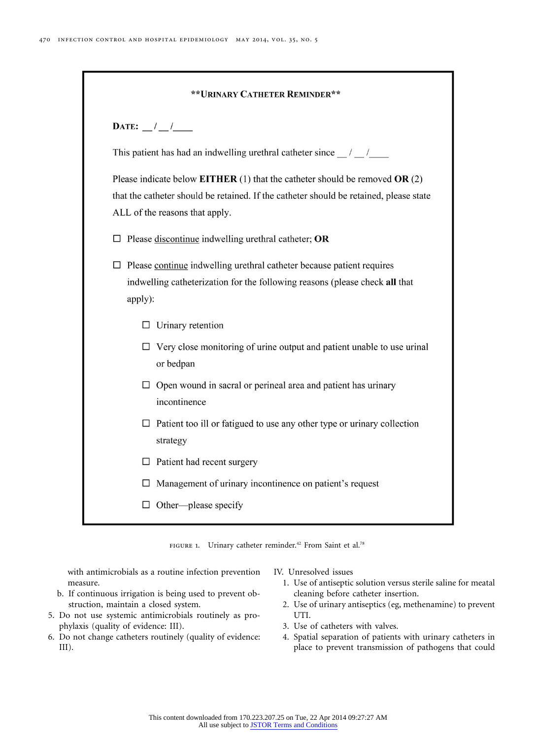| ** URINARY CATHETER REMINDER**                                                                                                                                                                                  |
|-----------------------------------------------------------------------------------------------------------------------------------------------------------------------------------------------------------------|
| DATE: $\frac{1}{1}$                                                                                                                                                                                             |
| This patient has had an indwelling urethral catheter since $\frac{1}{\sqrt{2}}$                                                                                                                                 |
| Please indicate below <b>EITHER</b> (1) that the catheter should be removed $OR(2)$<br>that the catheter should be retained. If the catheter should be retained, please state<br>ALL of the reasons that apply. |
| Please discontinue indwelling urethral catheter; OR<br>П                                                                                                                                                        |
| Please continue indwelling urethral catheter because patient requires<br>indwelling catheterization for the following reasons (please check all that<br>apply):                                                 |
| Urinary retention<br>ш                                                                                                                                                                                          |
| $\Box$ Very close monitoring of urine output and patient unable to use urinal<br>or bedpan                                                                                                                      |
| $\Box$ Open wound in sacral or perineal area and patient has urinary<br>incontinence                                                                                                                            |
| $\Box$ Patient too ill or fatigued to use any other type or urinary collection<br>strategy                                                                                                                      |
| Patient had recent surgery<br>$\Box$                                                                                                                                                                            |
| Management of urinary incontinence on patient's request                                                                                                                                                         |
| Other—please specify                                                                                                                                                                                            |

FIGURE 1. Urinary catheter reminder.<sup>42</sup> From Saint et al.<sup>78</sup>

with antimicrobials as a routine infection prevention measure.

- b. If continuous irrigation is being used to prevent obstruction, maintain a closed system.
- 5. Do not use systemic antimicrobials routinely as prophylaxis (quality of evidence: III).
- 6. Do not change catheters routinely (quality of evidence: III).

IV. Unresolved issues

- 1. Use of antiseptic solution versus sterile saline for meatal cleaning before catheter insertion.
- 2. Use of urinary antiseptics (eg, methenamine) to prevent UTI.
- 3. Use of catheters with valves.
- 4. Spatial separation of patients with urinary catheters in place to prevent transmission of pathogens that could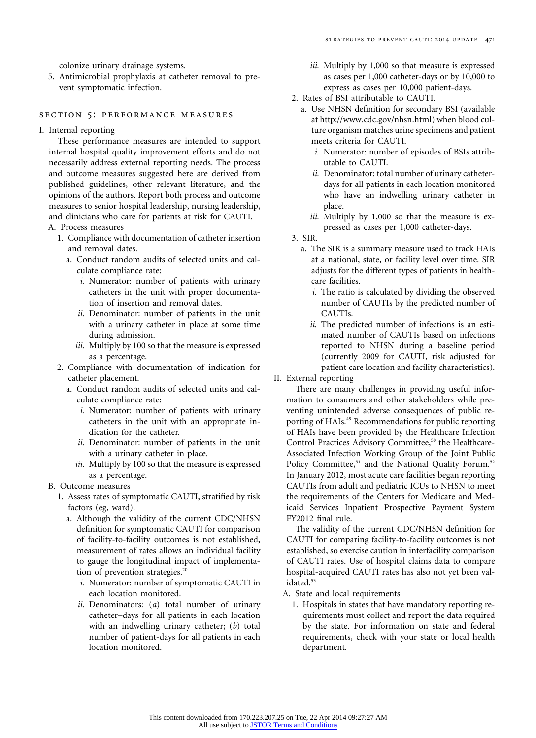colonize urinary drainage systems.

5. Antimicrobial prophylaxis at catheter removal to prevent symptomatic infection.

## section 5: performance measures

### I. Internal reporting

These performance measures are intended to support internal hospital quality improvement efforts and do not necessarily address external reporting needs. The process and outcome measures suggested here are derived from published guidelines, other relevant literature, and the opinions of the authors. Report both process and outcome measures to senior hospital leadership, nursing leadership, and clinicians who care for patients at risk for CAUTI.

- A. Process measures
	- 1. Compliance with documentation of catheter insertion and removal dates.
		- a. Conduct random audits of selected units and calculate compliance rate:
			- *i*. Numerator: number of patients with urinary catheters in the unit with proper documentation of insertion and removal dates.
			- *ii*. Denominator: number of patients in the unit with a urinary catheter in place at some time during admission.
			- *iii*. Multiply by 100 so that the measure is expressed as a percentage.
	- 2. Compliance with documentation of indication for catheter placement.
		- a. Conduct random audits of selected units and calculate compliance rate:
			- *i*. Numerator: number of patients with urinary catheters in the unit with an appropriate indication for the catheter.
			- *ii*. Denominator: number of patients in the unit with a urinary catheter in place.
			- *iii*. Multiply by 100 so that the measure is expressed as a percentage.
- B. Outcome measures
	- 1. Assess rates of symptomatic CAUTI, stratified by risk factors (eg, ward).
		- a. Although the validity of the current CDC/NHSN definition for symptomatic CAUTI for comparison of facility-to-facility outcomes is not established, measurement of rates allows an individual facility to gauge the longitudinal impact of implementation of prevention strategies.<sup>20</sup>
			- *i*. Numerator: number of symptomatic CAUTI in each location monitored.
			- *ii*. Denominators: (*a*) total number of urinary catheter–days for all patients in each location with an indwelling urinary catheter; (*b*) total number of patient-days for all patients in each location monitored.
- *iii*. Multiply by 1,000 so that measure is expressed as cases per 1,000 catheter-days or by 10,000 to express as cases per 10,000 patient-days.
- 2. Rates of BSI attributable to CAUTI.
	- a. Use NHSN definition for secondary BSI (available at [http://www.cdc.gov/nhsn.html\)](http://www.cdc.gov/nhsn.html) when blood culture organism matches urine specimens and patient meets criteria for CAUTI.
		- *i*. Numerator: number of episodes of BSIs attributable to CAUTI.
		- *ii*. Denominator: total number of urinary catheterdays for all patients in each location monitored who have an indwelling urinary catheter in place.
		- *iii*. Multiply by 1,000 so that the measure is expressed as cases per 1,000 catheter-days.
- 3. SIR.
	- a. The SIR is a summary measure used to track HAIs at a national, state, or facility level over time. SIR adjusts for the different types of patients in healthcare facilities.
		- *i*. The ratio is calculated by dividing the observed number of CAUTIs by the predicted number of CAUTIs.
		- *ii*. The predicted number of infections is an estimated number of CAUTIs based on infections reported to NHSN during a baseline period (currently 2009 for CAUTI, risk adjusted for patient care location and facility characteristics).
- II. External reporting

There are many challenges in providing useful information to consumers and other stakeholders while preventing unintended adverse consequences of public reporting of HAIs.49 Recommendations for public reporting of HAIs have been provided by the Healthcare Infection Control Practices Advisory Committee,<sup>50</sup> the Healthcare-Associated Infection Working Group of the Joint Public Policy Committee,<sup>51</sup> and the National Quality Forum.<sup>52</sup> In January 2012, most acute care facilities began reporting CAUTIs from adult and pediatric ICUs to NHSN to meet the requirements of the Centers for Medicare and Medicaid Services Inpatient Prospective Payment System FY2012 final rule.

The validity of the current CDC/NHSN definition for CAUTI for comparing facility-to-facility outcomes is not established, so exercise caution in interfacility comparison of CAUTI rates. Use of hospital claims data to compare hospital-acquired CAUTI rates has also not yet been validated.<sup>53</sup>

- A. State and local requirements
	- 1. Hospitals in states that have mandatory reporting requirements must collect and report the data required by the state. For information on state and federal requirements, check with your state or local health department.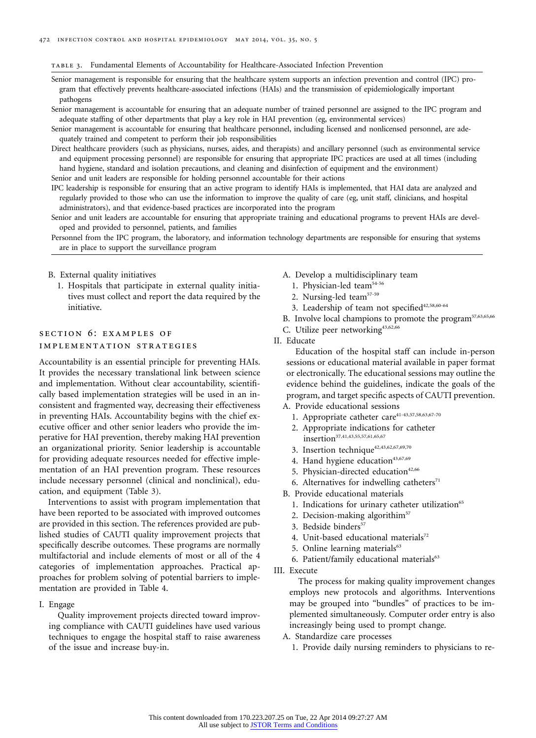#### table 3. Fundamental Elements of Accountability for Healthcare-Associated Infection Prevention

Senior management is responsible for ensuring that the healthcare system supports an infection prevention and control (IPC) program that effectively prevents healthcare-associated infections (HAIs) and the transmission of epidemiologically important pathogens

Senior management is accountable for ensuring that an adequate number of trained personnel are assigned to the IPC program and adequate staffing of other departments that play a key role in HAI prevention (eg, environmental services)

Senior management is accountable for ensuring that healthcare personnel, including licensed and nonlicensed personnel, are adequately trained and competent to perform their job responsibilities

Direct healthcare providers (such as physicians, nurses, aides, and therapists) and ancillary personnel (such as environmental service and equipment processing personnel) are responsible for ensuring that appropriate IPC practices are used at all times (including hand hygiene, standard and isolation precautions, and cleaning and disinfection of equipment and the environment)

Senior and unit leaders are responsible for holding personnel accountable for their actions

IPC leadership is responsible for ensuring that an active program to identify HAIs is implemented, that HAI data are analyzed and regularly provided to those who can use the information to improve the quality of care (eg, unit staff, clinicians, and hospital administrators), and that evidence-based practices are incorporated into the program

Senior and unit leaders are accountable for ensuring that appropriate training and educational programs to prevent HAIs are developed and provided to personnel, patients, and families

Personnel from the IPC program, the laboratory, and information technology departments are responsible for ensuring that systems are in place to support the surveillance program

#### B. External quality initiatives

1. Hospitals that participate in external quality initiatives must collect and report the data required by the initiative.

# section 6: examples of implementation strategies

Accountability is an essential principle for preventing HAIs. It provides the necessary translational link between science and implementation. Without clear accountability, scientifically based implementation strategies will be used in an inconsistent and fragmented way, decreasing their effectiveness in preventing HAIs. Accountability begins with the chief executive officer and other senior leaders who provide the imperative for HAI prevention, thereby making HAI prevention an organizational priority. Senior leadership is accountable for providing adequate resources needed for effective implementation of an HAI prevention program. These resources include necessary personnel (clinical and nonclinical), education, and equipment (Table 3).

Interventions to assist with program implementation that have been reported to be associated with improved outcomes are provided in this section. The references provided are published studies of CAUTI quality improvement projects that specifically describe outcomes. These programs are normally multifactorial and include elements of most or all of the 4 categories of implementation approaches. Practical approaches for problem solving of potential barriers to implementation are provided in Table 4.

I. Engage

Quality improvement projects directed toward improving compliance with CAUTI guidelines have used various techniques to engage the hospital staff to raise awareness of the issue and increase buy-in.

- A. Develop a multidisciplinary team
	- 1. Physician-led team<sup>54-56</sup>
	- 2. Nursing-led team<sup>57-59</sup>
	- 3. Leadership of team not specified<sup>42,58,60-64</sup>
- B. Involve local champions to promote the program<sup>57,63,65,66</sup>
- C. Utilize peer networking43,62,66
- II. Educate

Education of the hospital staff can include in-person sessions or educational material available in paper format or electronically. The educational sessions may outline the evidence behind the guidelines, indicate the goals of the program, and target specific aspects of CAUTI prevention. A. Provide educational sessions

- 1. Appropriate catheter care<sup>41-43,57,58,63,67-70</sup>
- 2. Appropriate indications for catheter insertion<sup>37,41,43,55,57,61,65,67</sup>
- 3. Insertion technique<sup>42,43,62,67,69,70</sup>
- 4. Hand hygiene education<sup>43,67,69</sup>
- 5. Physician-directed education<sup>42,66</sup>
- 6. Alternatives for indwelling catheters<sup>71</sup>
- B. Provide educational materials
	- 1. Indications for urinary catheter utilization<sup>65</sup>
	- 2. Decision-making algorithim<sup>57</sup>
	- 3. Bedside binders<sup>57</sup>
	- 4. Unit-based educational materials<sup>72</sup>
	- 5. Online learning materials $63$
	- 6. Patient/family educational materials<sup>63</sup>
- III. Execute

The process for making quality improvement changes employs new protocols and algorithms. Interventions may be grouped into "bundles" of practices to be implemented simultaneously. Computer order entry is also increasingly being used to prompt change.

- A. Standardize care processes
	- 1. Provide daily nursing reminders to physicians to re-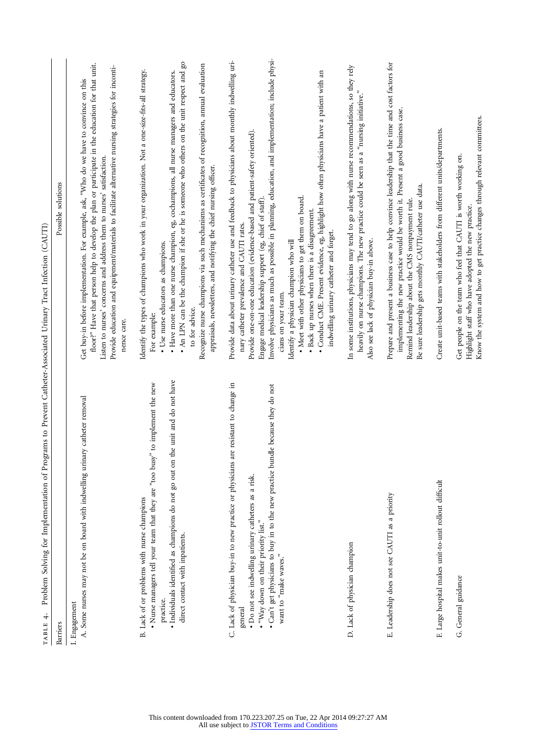| Problem Solving for Implementation of Pr<br>$\div$<br>TABLE                                                                                                                                                                                                                                                 | rograms to Prevent Catheter-Associated Urinary Tract Infection (CAUTI)                                                                                                                                                                                                                                                                                                                                                                                                                                                                                                                                                                                                                                        |
|-------------------------------------------------------------------------------------------------------------------------------------------------------------------------------------------------------------------------------------------------------------------------------------------------------------|---------------------------------------------------------------------------------------------------------------------------------------------------------------------------------------------------------------------------------------------------------------------------------------------------------------------------------------------------------------------------------------------------------------------------------------------------------------------------------------------------------------------------------------------------------------------------------------------------------------------------------------------------------------------------------------------------------------|
| Barriers                                                                                                                                                                                                                                                                                                    | Possible solutions                                                                                                                                                                                                                                                                                                                                                                                                                                                                                                                                                                                                                                                                                            |
| A. Some nurses may not be on board with indwelling urinary catheter removal<br>I. Engagement                                                                                                                                                                                                                | floor?" Have that person help to develop the plan or participate in the education for that unit.<br>Provide education and equipment/materials to facilitate alternative nursing strategies for inconti-<br>Get buy-in before implementation. For example, ask, "Who do we have to convince on this<br>Listen to nurses' concerns and address them to nurses' satisfaction.<br>nence care.                                                                                                                                                                                                                                                                                                                     |
| . Individuals identified as champions do not go out on the unit and do not have<br>• Nurse managers tell your team that they are "too busy" to implement the new<br>B. Lack of or problems with nurse champions<br>direct contact with inpatients.<br>practice.                                             | $60^{\circ}$<br>Recognize nurse champions via such mechanisms as certificates of recognition, annual evaluation<br>Identify the types of champions who work in your organization. Not a one-size-fits-all strategy,<br>. Have more than one nurse champion, eg, cochampions, all nurse managers and educators.<br>• An LPN can be the champion if she or he is someone who others on the unit respect and<br>appraisals, newsletters, and notifying the chief nursing officer.<br>• Use nurse educators as champions.<br>to for advice.<br>For example:                                                                                                                                                       |
| C. Lack of physician buy-in to new practice or physicians are resistant to change in<br>· Can't get physicians to buy in to the new practice bundle because they do not<br>· Do not see indwelling urinary catheters as a risk.<br>• "Way down on their priority list."<br>want to "make waves."<br>general | Involve physicians as much as possible in planning, education, and implementation; include physi-<br>Provide data about urinary catheter use and feedback to physicians about monthly indwelling uri-<br>· Conduct CME. Present evidence, eg, highlight how often physicians have a patient with an<br>Provide one-on-one education (evidence-based and patient-safety oriented).<br>• Meet with other physicians to get them on board.<br>Engage medical leadership support (eg, chief of staff).<br>• Back up nurses when there is a disagreement.<br>nary catheter prevalence and CAUTI rates.<br>indwelling urinary catheter and forget.<br>Identify a physician champion who will<br>cians on your team. |
| D. Lack of physician champion                                                                                                                                                                                                                                                                               | In some institutions, physicians may tend to go along with nurse recommendations, so they rely<br>heavily on nurse champions. The new practice could be seen as a "nursing initiative."<br>Also see lack of physician buy-in above.                                                                                                                                                                                                                                                                                                                                                                                                                                                                           |
| E. Leadership does not see CAUTI as a priority                                                                                                                                                                                                                                                              | Prepare and present a business case to help convince leadership that the time and cost factors for<br>implementing the new practice would be worth it. Present a good business case.<br>Be sure leadership gets monthly CAUTI/catheter use data.<br>Remind leadership about the CMS nonpayment rule.                                                                                                                                                                                                                                                                                                                                                                                                          |
| F. Large hospital makes unit-to-unit rollout difficult                                                                                                                                                                                                                                                      | Create unit-based teams with stakeholders from different units/departments.                                                                                                                                                                                                                                                                                                                                                                                                                                                                                                                                                                                                                                   |
| G. General guidance                                                                                                                                                                                                                                                                                         | Know the system and how to get practice changes through relevant committees.<br>Get people on the team who feel that CAUTI is worth working on.<br>Highlight staff who have adopted the new practice.                                                                                                                                                                                                                                                                                                                                                                                                                                                                                                         |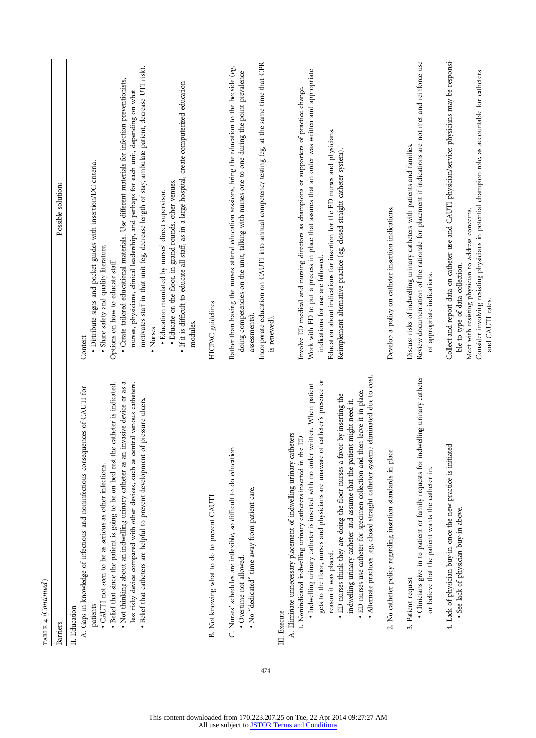| TABLE 4 (Continued)                                                                                                                                                                                                                                                                                                                                                                                                                                                                                                                                                                                                                                                                    |                                                                                                                                                                                                                                                                                                                                                                                                                                                                                                                                                                                                                                                                                                     |
|----------------------------------------------------------------------------------------------------------------------------------------------------------------------------------------------------------------------------------------------------------------------------------------------------------------------------------------------------------------------------------------------------------------------------------------------------------------------------------------------------------------------------------------------------------------------------------------------------------------------------------------------------------------------------------------|-----------------------------------------------------------------------------------------------------------------------------------------------------------------------------------------------------------------------------------------------------------------------------------------------------------------------------------------------------------------------------------------------------------------------------------------------------------------------------------------------------------------------------------------------------------------------------------------------------------------------------------------------------------------------------------------------------|
| Barriers                                                                                                                                                                                                                                                                                                                                                                                                                                                                                                                                                                                                                                                                               | Possible solutions                                                                                                                                                                                                                                                                                                                                                                                                                                                                                                                                                                                                                                                                                  |
| an invasive device or as a<br>central venous catheters.<br>the catheter is indicated.<br>A. Gaps in knowledge of infectious and noninfectious consequences of CAUTI for<br>· Belief that catheters are helpful to prevent development of pressure ulcers.<br>· Belief that since the patient is going to be on bed rest<br>less risky device compared with other devices, such as<br>• Not thinking about an indwelling urinary catheter as<br>• CAUTI not seen to be as serious as other infections.<br>patients<br>II. Education                                                                                                                                                     | motivates staff in that unit (eg, decrease length of stay, ambulate patient, decrease UTI risk).<br>· Create tailored educational materials. Use different materials for infection preventionists,<br>. If it is difficult to educate all staff, as in a large hospital, create computerized education<br>nurses, physicians, clinical leadership, and perhaps for each unit, depending on what<br>· Distribute signs and pocket guides with insertion/DC criteria.<br>• Educate on the floor, in grand rounds, other venues.<br>· Education mandated by nurses' direct supervisor.<br>• Share safety and quality literature.<br>Options on how to educate staff<br>modules.<br>• Nurses<br>Content |
| B. Not knowing what to do to prevent CAUTI                                                                                                                                                                                                                                                                                                                                                                                                                                                                                                                                                                                                                                             | HICPAC guidelines                                                                                                                                                                                                                                                                                                                                                                                                                                                                                                                                                                                                                                                                                   |
| C. Nurses' schedules are inflexible, so difficult to do education<br>. No "dedicated" time away from patient care.<br>• Overtime not allowed.                                                                                                                                                                                                                                                                                                                                                                                                                                                                                                                                          | Incorporate education on CAUTI into annual competency testing (eg, at the same time that CPR<br>Rather than having the nurses attend education sessions, bring the education to the bedside (eg,<br>doing competencies on the unit, talking with nurses one to one during the point prevalence<br>assessments)<br>is renewed).                                                                                                                                                                                                                                                                                                                                                                      |
| · Alternate practices (eg, closed straight catheter system) eliminated due to cost.<br>gets to the floor, nurses and physicians are unaware of catheter's presence or<br>· Indwelling urinary catheter is inserted with no order written. When patient<br>· ED nurses use catheter for specimen collection and then leave it in place.<br>favor by inserting the<br>indwelling urinary catheter and assume that the patient might need it.<br>catheters<br>1. Nonindicated indwelling urinary catheters inserted in the ED<br>• ED nurses think they are doing the floor nurses a<br>A. Eliminate unnecessary placement of indwelling urinary<br>reason it was placed.<br>III. Execute | Work with ED to put a process in place that assures that an order was written and appropriate<br>Involve ED medical and nursing directors as champions or supporters of practice change.<br>Education about indications for insertion for the ED nurses and physicians.<br>Reimplement alternative practice (eg, closed straight catheter system).<br>indications for use are followed.                                                                                                                                                                                                                                                                                                             |
| 2. No catheter policy regarding insertion standards in place                                                                                                                                                                                                                                                                                                                                                                                                                                                                                                                                                                                                                           | Develop a policy on catheter insertion indications.                                                                                                                                                                                                                                                                                                                                                                                                                                                                                                                                                                                                                                                 |
| indwelling urinary catheter<br>· Clinicians give in to patient or family requests for<br>or believe that the patient wants the catheter in.<br>3. Patient request                                                                                                                                                                                                                                                                                                                                                                                                                                                                                                                      | Review documentation of the rationale for placement if indications are not met and reinforce use<br>Discuss risks of indwelling urinary catheters with patients and families.<br>of appropriate indications.                                                                                                                                                                                                                                                                                                                                                                                                                                                                                        |
| 4. Lack of physician buy-in once the new practice is initiated<br>· See lack of physician buy-in above.                                                                                                                                                                                                                                                                                                                                                                                                                                                                                                                                                                                | Collect and report data on catheter use and CAUTI physician/service: physicians may be responsi-<br>Consider involving resisting physicians in potential champion role, as accountable for catheters<br>Meet with resisting physician to address concerns.<br>ble to type of data collection.<br>and CAUTI rates.                                                                                                                                                                                                                                                                                                                                                                                   |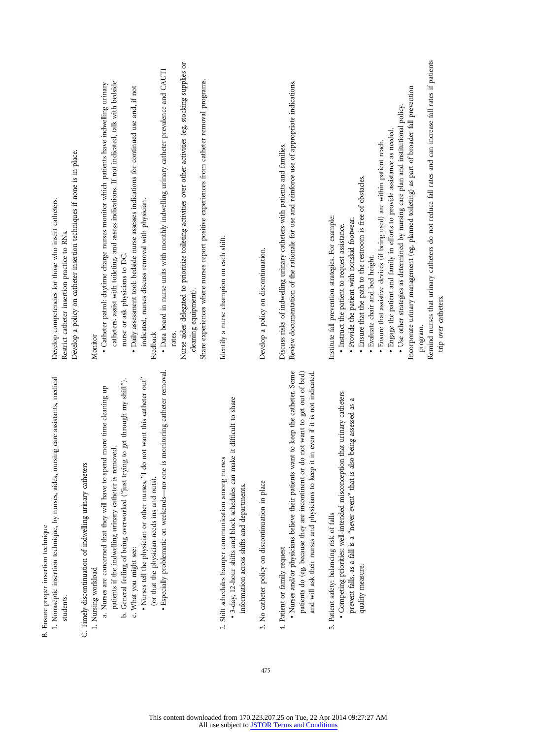| 1. Nonaseptic insertion technique, by nurses, aides, nursing care assistants, medical<br>B. Ensure proper insertion technique                                                                                                                                  | Develop competencies for those who insert catheters.                                                                                                                                     |
|----------------------------------------------------------------------------------------------------------------------------------------------------------------------------------------------------------------------------------------------------------------|------------------------------------------------------------------------------------------------------------------------------------------------------------------------------------------|
| students.                                                                                                                                                                                                                                                      | Develop a policy on catheter insertion techniques if none is in place.<br>Restrict catheter insertion practice to RNs.                                                                   |
| C. Timely discontinuation of indwelling urinary catheters                                                                                                                                                                                                      |                                                                                                                                                                                          |
| 1. Nursing workload                                                                                                                                                                                                                                            | Monitor                                                                                                                                                                                  |
| more time cleaning up<br>patients if the indwelling urinary catheter is removed.<br>a. Nurses are concerned that they will have to spend                                                                                                                       | catheters, assist with toileting, and assess indications. If not indicated, talk with bedside<br>· Catheter patrol: daytime charge nurses monitor which patients have indwelling urinary |
| to get through my shift").<br>b. General feeling of being overworked ("just trying                                                                                                                                                                             | nurse or ask physicians to DC.                                                                                                                                                           |
| c. What you might see:                                                                                                                                                                                                                                         | Daily assessment tool: bedside nurse assesses indications for continued use and, if not                                                                                                  |
| not want this catheter out"<br>• Nurses tell the physician or other nurses, "I do n                                                                                                                                                                            | indicated, nurses discuss removal with physician.                                                                                                                                        |
| (or that the physician needs ins and outs).                                                                                                                                                                                                                    | Feedback                                                                                                                                                                                 |
| · Especially problematic on weekends-no one is monitoring catheter removal.                                                                                                                                                                                    | · Data board in nurse units with monthly indwelling urinary catheter prevalence and CAUTI                                                                                                |
|                                                                                                                                                                                                                                                                | Nurse aides delegated to prioritize toileting activities over other activities (eg, stocking supplies or                                                                                 |
|                                                                                                                                                                                                                                                                | Share experiences where nurses report positive experiences from catheter removal programs.<br>cleaning equipment).                                                                       |
|                                                                                                                                                                                                                                                                |                                                                                                                                                                                          |
| it difficult to share<br>2. Shift schedules hamper communication among nurses<br>• 3-day, 12-hour shifts and block schedules can make                                                                                                                          | Identify a nurse champion on each shift.                                                                                                                                                 |
| information across shifts and departments.                                                                                                                                                                                                                     |                                                                                                                                                                                          |
| 3. No catheter policy on discontinuation in place                                                                                                                                                                                                              | Develop a policy on discontinuation.                                                                                                                                                     |
| 4. Patient or family request                                                                                                                                                                                                                                   | Discuss risks of indwelling urinary catheters with patients and families.                                                                                                                |
| · Nurses and/or physicians believe their patients want to keep the catheter. Some<br>patients do (eg, because they are incontinent or do not want to get out of bed)<br>in even if it is not indicated.<br>and will ask their nurses and physicians to keep it | Review documentation of the rationale for use and reinforce use of appropriate indications.                                                                                              |
| 5. Patient safety: balancing risk of falls                                                                                                                                                                                                                     | Institute fall prevention strategies. For example:                                                                                                                                       |
| · Competing priorities: well-intended misconception that urinary catheters                                                                                                                                                                                     | • Instruct the patient to request assistance.                                                                                                                                            |
| being assessed as<br>prevent falls, as a fall is a "never event" that is also                                                                                                                                                                                  | Provide the patient with nonskid footwear.                                                                                                                                               |
| quality measure.                                                                                                                                                                                                                                               | Ensure that the path to the restroom is free of obstacles.<br>Evaluate chair and bed height.                                                                                             |
|                                                                                                                                                                                                                                                                | Ensure that assistive devices (if being used) are within patient reach.                                                                                                                  |
|                                                                                                                                                                                                                                                                | · Engage the patient and family in efforts to provide assistance as needed                                                                                                               |
|                                                                                                                                                                                                                                                                | Incorporate urinary management (eg, planned toileting) as part of broader fall prevention<br>• Use other strategies as determined by nursing care plan and institutional policy.         |
|                                                                                                                                                                                                                                                                | program.                                                                                                                                                                                 |
|                                                                                                                                                                                                                                                                | Remind nurses that urinary catheters do not reduce fall rates and can increase fall rates if patients                                                                                    |
|                                                                                                                                                                                                                                                                | trip over catheters.                                                                                                                                                                     |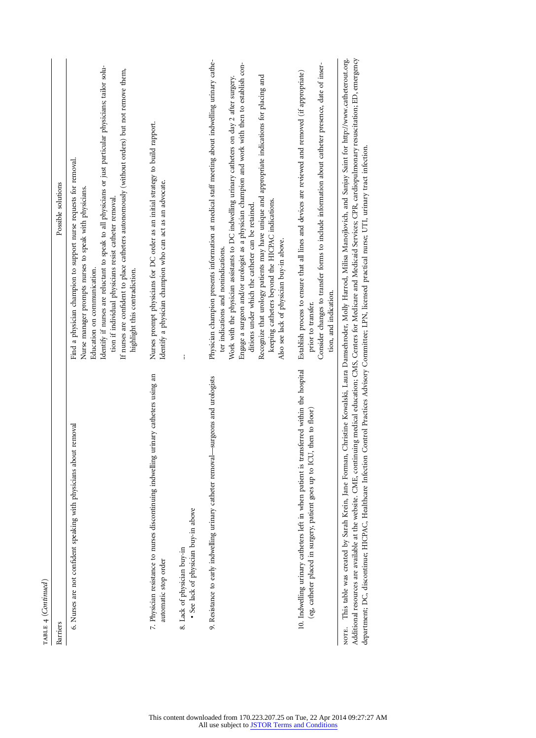| TABLE $4$ ( <i>Continued</i> )                                                                                                                                      |                                                                                                                                                                                                                                                                                                                                                                                                                                                                                                                                                                                                |
|---------------------------------------------------------------------------------------------------------------------------------------------------------------------|------------------------------------------------------------------------------------------------------------------------------------------------------------------------------------------------------------------------------------------------------------------------------------------------------------------------------------------------------------------------------------------------------------------------------------------------------------------------------------------------------------------------------------------------------------------------------------------------|
| Barriers                                                                                                                                                            | Possible solutions                                                                                                                                                                                                                                                                                                                                                                                                                                                                                                                                                                             |
| 6. Nurses are not confident speaking with physicians about removal                                                                                                  | Identify if nurses are reluctant to speak to all physicians or just particular physicians; tailor solu-<br>If nurses are confident to place catheters autonomously (without orders) but not remove them,<br>Find a physician champion to support nurse requests for removal.<br>Nurse manager prompts nurses to speak with physicians.<br>tion if individual physicians resist catheter removal<br>Education on communication.<br>highlight this contradiction.                                                                                                                                |
| urinary catheters using an<br>7. Physician resistance to nurses discontinuing indwelling<br>automatic stop order                                                    | Nurses prompt physicians for DC order as an initial strategy to build rapport.<br>Identify a physician champion who can act as an advocate.                                                                                                                                                                                                                                                                                                                                                                                                                                                    |
| • See lack of physician buy-in above<br>8. Lack of physician buy-in                                                                                                 | $\vdots$                                                                                                                                                                                                                                                                                                                                                                                                                                                                                                                                                                                       |
| -surgeons and urologists<br>9. Resistance to early indwelling urinary catheter removal                                                                              | Physician champion presents information at medical staff meeting about indwelling urinary cathe-<br>Engage a surgeon and/or urologist as a physician champion and work with then to establish con-<br>Recognize that urology patients may have unique and appropriate indications for placing and<br>Work with the physician assistants to DC indwelling urinary catheters on day 2 after surgery.<br>keeping catheters beyond the HICPAC indications.<br>ditions under which the catheter can be retained.<br>Also see lack of physician buy-in above.<br>ter indications and nonindications. |
| 10. Indwelling urinary catheters left in when patient is transferred within the hospital<br>(eg, catheter placed in surgery, patient goes up to ICU, then to floor) | Consider changes to transfer forms to include information about catheter presence, date of inser-<br>Establish process to ensure that all lines and devices are reviewed and removed (if appropriate)<br>tion, and indication.<br>prior to transfer.                                                                                                                                                                                                                                                                                                                                           |
| department; DC, discontinue; HICPAC, Healthcare Infection<br>NOTE.                                                                                                  | Additional resources are available at the website. CME, continuing medical education; CMS, Centers for Medicare and Medicaid Services; CPR, cardiopulmonary resuscitation; ED, emergency<br>This table was created by Sarah Krein, Jane Forman, Christine Kowalski, Laura Damsehroder, Molly Harrod, Milisa Manojlovich, and Sanjay Saint for http://www.catheterout.org.<br>Control Practices Advisory Committee; LPN, licensed practical nurse; UTI, urinary tract infection.                                                                                                                |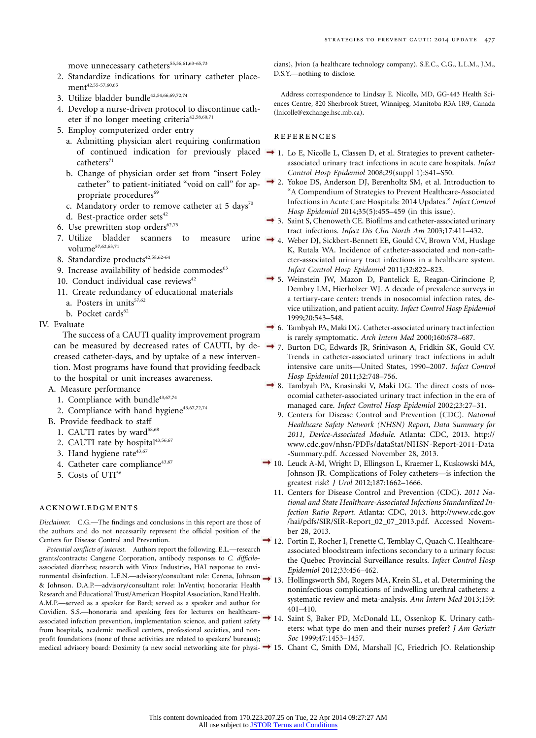move unnecessary catheters<sup>55,56,61,63-65,73</sup>

- 2. Standardize indications for urinary catheter placement<sup>42,55-57,60,65</sup>
- 3. Utilize bladder bundle<sup>42,54,66,69,72,74</sup>
- 4. Develop a nurse-driven protocol to discontinue catheter if no longer meeting criteria<sup>42,58,60,71</sup>
- 5. Employ computerized order entry
	- a. Admitting physician alert requiring confirmation of continued indication for previously placed 1. Lo E, Nicolle L, Classen D, et al. Strategies to prevent catheter $catheters<sup>71</sup>$
	- b. Change of physician order set from "insert Foley catheter" to patient-initiated "void on call" for appropriate procedures<sup>69</sup>
	- c. Mandatory order to remove catheter at 5 days $70$
- d. Best-practice order sets<sup>42</sup>
- 6. Use prewritten stop orders $62,75$
- 7. Utilize bladder scanners to measure  $volume^{57,62,63,71}$
- 8. Standardize products<sup>42,58,62-64</sup>
- 9. Increase availability of bedside commodes $63$
- 10. Conduct individual case reviews<sup>42</sup>
- 11. Create redundancy of educational materials
- a. Posters in units<sup>57,62</sup>
- b. Pocket cards $62$
- IV. Evaluate

The success of a CAUTI quality improvement program can be measured by decreased rates of CAUTI, by de-7. Burton DC, Edwards JR, Srinivason A, Fridkin SK, Gould CV. creased catheter-days, and by uptake of a new intervention. Most programs have found that providing feedback to the hospital or unit increases awareness.

- A. Measure performance
	- 1. Compliance with bundle<sup>43,67,74</sup>
	- 2. Compliance with hand hygiene<sup>43,67,72,74</sup>
- B. Provide feedback to staff
	- 1. CAUTI rates by ward<sup>58,68</sup>
	- 2. CAUTI rate by hospital<sup>43,56,67</sup>
	- 3. Hand hygiene rate<sup>43,67</sup>
	- 4. Catheter care compliance<sup>43,67</sup>
	- 5. Costs of UTI<sup>56</sup>

#### acknowledgments

*Disclaimer.* C.G.—The findings and conclusions in this report are those of the authors and do not necessarily represent the official position of the Centers for Disease Control and Prevention.

*Potential conflicts of interest.* Authors report the following. E.L.—research grants/contracts: Cangene Corporation, antibody responses to *C. difficile*– associated diarrhea; research with Virox Industries, HAI response to environmental disinfection. L.E.N.—advisory/consultant role: Cerena, Johnson  $\rightarrow$  13. & Johnson. D.A.P.—advisory/consultant role: InVentiv; honoraria: Health Research and Educational Trust/American Hospital Association, Rand Health. A.M.P.—served as a speaker for Bard; served as a speaker and author for Covidien. S.S.—honoraria and speaking fees for lectures on healthcareassociated infection prevention, implementation science, and patient safety from hospitals, academic medical centers, professional societies, and nonprofit foundations (none of these activities are related to speakers' bureaus); medical advisory board: Doximity (a new social networking site for physi-15. Chant C, Smith DM, Marshall JC, Friedrich JO. Relationship

cians), Jvion (a healthcare technology company). S.E.C., C.G., L.L.M., J.M., D.S.Y.—nothing to disclose.

Address correspondence to Lindsay E. Nicolle, MD, GG-443 Health Sciences Centre, 820 Sherbrook Street, Winnipeg, Manitoba R3A 1R9, Canada [\(lnicolle@exchange.hsc.mb.ca\)](mailto:lnicolle@exchange.hsc.mb.ca).

#### **REFERENCES**

- associated urinary tract infections in acute care hospitals. *Infect Control Hosp Epidemiol* 2008;29(suppl 1):S41–S50.
- 2. Yokoe DS, Anderson DJ, Berenholtz SM, et al. Introduction to "A Compendium of Strategies to Prevent Healthcare-Associated Infections in Acute Care Hospitals: 2014 Updates." *Infect Control Hosp Epidemiol* 2014;35(5):455–459 (in this issue).
- 3. Saint S, Chenoweth CE. Biofilms and catheter-associated urinary tract infections. *Infect Dis Clin North Am* 2003;17:411–432.
- $urine \rightarrow 4$ . Weber DJ, Sickbert-Bennett EE, Gould CV, Brown VM, Huslage K, Rutala WA. Incidence of catheter-associated and non-catheter-associated urinary tract infections in a healthcare system. *Infect Control Hosp Epidemiol* 2011;32:822–823.
	- 5. Weinstein JW, Mazon D, Pantelick E, Reagan-Cirincione P, Dembry LM, Hierholzer WJ. A decade of prevalence surveys in a tertiary-care center: trends in nosocomial infection rates, device utilization, and patient acuity. *Infect Control Hosp Epidemiol* 1999;20:543–548.
	- Tambyah PA, Maki DG. Catheter-associated urinary tract infection is rarely symptomatic. *Arch Intern Med* 2000;160:678–687.
	- Trends in catheter-associated urinary tract infections in adult intensive care units—United States, 1990–2007. *Infect Control Hosp Epidemiol* 2011;32:748–756.
	- 8. Tambyah PA, Knasinski V, Maki DG. The direct costs of nosocomial catheter-associated urinary tract infection in the era of managed care. *Infect Control Hosp Epidemiol* 2002;23:27–31.
		- 9. Centers for Disease Control and Prevention (CDC). *National Healthcare Safety Network (NHSN) Report, Data Summary for 2011, Device-Associated Module*. Atlanta: CDC, 2013. [http://](http://www.cdc.gov/nhsn/PDFs/dataStat/NHSN-Report-2011-Data-Summary.pdf) [www.cdc.gov/nhsn/PDFs/dataStat/NHSN-Report-2011-Data](http://www.cdc.gov/nhsn/PDFs/dataStat/NHSN-Report-2011-Data-Summary.pdf) [-Summary.pdf.](http://www.cdc.gov/nhsn/PDFs/dataStat/NHSN-Report-2011-Data-Summary.pdf) Accessed November 28, 2013.
	- → 10. Leuck A-M, Wright D, Ellingson L, Kraemer L, Kuskowski MA, Johnson JR. Complications of Foley catheters—is infection the greatest risk? *J Urol* 2012;187:1662–1666.
		- 11. Centers for Disease Control and Prevention (CDC). *2011 National and State Healthcare-Associated Infections Standardized Infection Ratio Report*. Atlanta: CDC, 2013. [http://www.cdc.gov](http://www.cdc.gov/hai/pdfs/SIR/SIR-Report_02_07_2013.pdf) [/hai/pdfs/SIR/SIR-Report\\_02\\_07\\_2013.pdf.](http://www.cdc.gov/hai/pdfs/SIR/SIR-Report_02_07_2013.pdf) Accessed November 28, 2013.
	- <sup>+</sup> 12. Fortin E, Rocher I, Frenette C, Temblay C, Quach C. Healthcareassociated bloodstream infections secondary to a urinary focus: the Quebec Provincial Surveillance results. *Infect Control Hosp Epidemiol* 2012;33:456–462.
		- 13. Hollingsworth SM, Rogers MA, Krein SL, et al. Determining the noninfectious complications of indwelling urethral catheters: a systematic review and meta-analysis. *Ann Intern Med* 2013;159: 401–410.
	- 14. Saint S, Baker PD, McDonald LL, Ossenkop K. Urinary catheters: what type do men and their nurses prefer? *J Am Geriatr Soc* 1999;47:1453–1457.
		-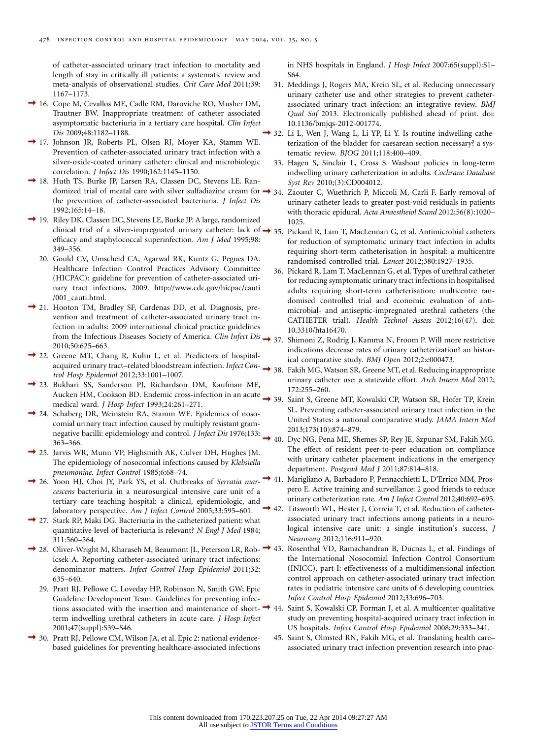of catheter-associated urinary tract infection to mortality and length of stay in critically ill patients: a systematic review and meta-analysis of observational studies. *Crit Care Med* 2011;39: 1167–1173.

- 16. Cope M, Cevallos ME, Cadle RM, Daroviche RO, Musher DM, Trautner BW. Inappropriate treatment of catheter associated asymptomatic bacteriuria in a tertiary care hospital. *Clin Infect Dis* 2009;48:1182–1188.
- 17. Johnson JR, Roberts PL, Olsen RJ, Moyer KA, Stamm WE. Prevention of catheter-associated urinary tract infection with a silver-oxide-coated urinary catheter: clinical and microbiologic correlation. *J Infect Dis* 1990;162:1145–1150.
- 18. Huth TS, Burke JP, Larsen RA, Classen DC, Stevens LE. Randomized trial of meatal care with silver sulfadiazine cream for 34. Zaouter C, Wuethrich P, Miccoli M, Carli F. Early removal of the prevention of catheter-associated bacteriuria. *J Infect Dis* 1992;165:14–18.
- → 19. Riley DK, Classen DC, Stevens LE, Burke JP. A large, randomized clinical trial of a silver-impregnated urinary catheter: lack of 35. Pickard R, Lam T, MacLennan G, et al. Antimicrobial catheters efficacy and staphylococcal superinfection. *Am J Med* 1995;98: 349–356.
	- 20. Gould CV, Umscheid CA, Agarwal RK, Kuntz G, Pegues DA. Healthcare Infection Control Practices Advisory Committee (HICPAC): guideline for prevention of catheter-associated urinary tract infections, 2009. [http://www.cdc.gov/hicpac/cauti](http://www.cdc.gov/hicpac/cauti/001_cauti.html) [/001\\_cauti.html.](http://www.cdc.gov/hicpac/cauti/001_cauti.html)
- 21. Hooton TM, Bradley SF, Cardenas DD, et al. Diagnosis, prevention and treatment of catheter-associated urinary tract infection in adults: 2009 international clinical practice guidelines from the Infectious Diseases Society of America. *Clin Infect Dis* 37. Shimoni Z, Rodrig J, Kamma N, Froom P. Will more restrictive 2010;50:625–663.
- <sup>2</sup> 22. Greene MT, Chang R, Kuhn L, et al. Predictors of hospitalacquired urinary tract–related bloodstream infection. *Infect Con-*ical comparative study. *BMJ Open* 2012;2:e000473. *trol Hosp Epidemiol* 2012;33:1001–1007.
- 23. Bukhari SS, Sanderson PJ, Richardson DM, Kaufman ME, Aucken HM, Cookson BD. Endemic cross-infection in an acute 172:255–260. medical ward. *J Hosp Infect* 1993;24:261–271.
- 24. Schaberg DR, Weinstein RA, Stamm WE. Epidemics of nosocomial urinary tract infection caused by multiply resistant gramnegative bacilli: epidemiology and control. *J Infect Dis* 1976;133: 363–366.
- 25. Jarvis WR, Munn VP, Highsmith AK, Culver DH, Hughes JM. The epidemiology of nosocomial infections caused by *Klebsiella pneumoniae*. *Infect Control* 1985;6:68–74.
- 26. Yoon HJ, Choi JY, Park YS, et al. Outbreaks of *Serratia marcescens* bacteriuria in a neurosurgical intensive care unit of a tertiary care teaching hospital: a clinical, epidemiologic, and laboratory perspective. *Am J Infect Control* 2005;33:595–601.
- <sup>2</sup> 27. Stark RP, Maki DG. Bacteriuria in the catheterized patient: what quantitative level of bacteriuria is relevant? *N Engl J Med* 1984; 311:560–564.
- → 28. Oliver-Wright M, Kharaseh M, Beaumont JL, Peterson LR, Rob- → 43. icsek A. Reporting catheter-associated urinary tract infections: denominator matters. *Infect Control Hosp Epidemiol* 2011;32: 635–640.
	- 29. Pratt RJ, Pellowe C, Loveday HP, Robinson N, Smith GW; Epic Guideline Development Team. Guidelines for preventing infections associated with the insertion and maintenance of short- $\rightarrow$  44. term indwelling urethral catheters in acute care. *J Hosp Infect* 2001;47(suppl):S39–S46.
- 30. Pratt RJ, Pellowe CM, Wilson JA, et al. Epic 2: national evidencebased guidelines for preventing healthcare-associated infections

in NHS hospitals in England. *J Hosp Infect* 2007;65(suppl):S1– S64.

- 31. Meddings J, Rogers MA, Krein SL, et al. Reducing unnecessary urinary catheter use and other strategies to prevent catheterassociated urinary tract infection: an integrative review. *BMJ Qual Saf* 2013. Electronically published ahead of print. doi: 10.1136/bmjqs-2012-001774.
- 32. Li L, Wen J, Wang L, Li YP, Li Y. Is routine indwelling catheterization of the bladder for caesarean section necessary? a systematic review. *BJOG* 2011;118:400–409.
	- 33. Hagen S, Sinclair L, Cross S. Washout policies in long-term indwelling urinary catheterization in adults. *Cochrane Database Syst Rev* 2010;(3):CD004012.
- urinary catheter leads to greater post-void residuals in patients with thoracic epidural. *Acta Anaestheiol Scand* 2012;56(8):1020– 1025.
- for reduction of symptomatic urinary tract infection in adults requiring short-term catheterisation in hospital: a multicentre randomised controlled trial. *Lancet* 2012;380:1927–1935.
- 36. Pickard R, Lam T, MacLennan G, et al. Types of urethral catheter for reducing symptomatic urinary tract infections in hospitalised adults requiring short-term catheterisation: multicentre randomised controlled trial and economic evaluation of antimicrobial- and antiseptic-impregnated urethral catheters (the CATHETER trial). *Health Technol Assess* 2012;16(47). doi: 10.3310/hta16470.
- indications decrease rates of urinary catheterization? an histor-
- 38. Fakih MG, Watson SR, Greene MT, et al. Reducing inappropriate urinary catheter use: a statewide effort. *Arch Intern Med* 2012;
- 39. Saint S, Greene MT, Kowalski CP, Watson SR, Hofer TP, Krein SL. Preventing catheter-associated urinary tract infection in the United States: a national comparative study. *JAMA Intern Med* 2013;173(10):874–879.
- 40. Dyc NG, Pena ME, Shemes SP, Rey JE, Szpunar SM, Fakih MG. The effect of resident peer-to-peer education on compliance with urinary catheter placement indications in the emergency department. *Postgrad Med J* 2011;87:814–818.
- 41. Marigliano A, Barbadoro P, Pennacchietti L, D'Errico MM, Prospero E. Active training and surveillance: 2 good friends to reduce urinary catheterization rate. *Am J Infect Control* 2012;40:692–695.
- → 42. Titsworth WL, Hester J, Correia T, et al. Reduction of catheterassociated urinary tract infections among patients in a neurological intensive care unit: a single institution's success. *J Neurosurg* 2012;116:911–920.
	- 43. Rosenthal VD, Ramachandran B, Ducnas L, et al. Findings of the International Nosocomial Infection Control Consortium (INICC), part I: effectivenesss of a multidimensional infection control approach on catheter-associated urinary tract infection rates in pediatric intensive care units of 6 developing countries. *Infect Control Hosp Epidemiol* 2012;33:696–703.
	- Saint S, Kowalski CP, Forman J, et al. A multicenter qualitative study on preventing hospital-acquired urinary tract infection in US hospitals. *Infect Control Hosp Epidemiol* 2008;29:333–341.
	- 45. Saint S, Olmsted RN, Fakih MG, et al. Translating health care– associated urinary tract infection prevention research into prac-